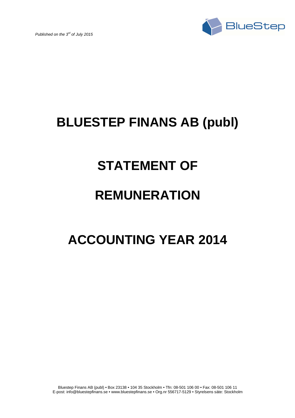

## **BLUESTEP FINANS AB (publ)**

## **STATEMENT OF**

## **REMUNERATION**

# **ACCOUNTING YEAR 2014**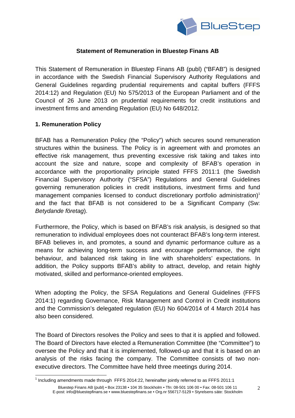

### **Statement of Remuneration in Bluestep Finans AB**

This Statement of Remuneration in Bluestep Finans AB (publ) ("BFAB") is designed in accordance with the Swedish Financial Supervisory Authority Regulations and General Guidelines regarding prudential requirements and capital buffers (FFFS 2014:12) and Regulation (EU) No 575/2013 of the European Parliament and of the Council of 26 June 2013 on prudential requirements for credit institutions and investment firms and amending Regulation (EU) No 648/2012.

### **1. Remuneration Policy**

l

BFAB has a Remuneration Policy (the "Policy") which secures sound remuneration structures within the business. The Policy is in agreement with and promotes an effective risk management, thus preventing excessive risk taking and takes into account the size and nature, scope and complexity of BFAB's operation in accordance with the proportionality principle stated FFFS 2011:1 (the Swedish Financial Supervisory Authority ("SFSA") Regulations and General Guidelines governing remuneration policies in credit institutions, investment firms and fund management companies licensed to conduct discretionary portfolio administration)<sup>1</sup> and the fact that BFAB is not considered to be a Significant Company (Sw: Betydande företag).

Furthermore, the Policy, which is based on BFAB's risk analysis, is designed so that remuneration to individual employees does not counteract BFAB's long-term interest. BFAB believes in, and promotes, a sound and dynamic performance culture as a means for achieving long-term success and encourage performance, the right behaviour, and balanced risk taking in line with shareholders' expectations. In addition, the Policy supports BFAB's ability to attract, develop, and retain highly motivated, skilled and performance-oriented employees.

When adopting the Policy, the SFSA Regulations and General Guidelines (FFFS 2014:1) regarding Governance, Risk Management and Control in Credit institutions and the Commission's delegated regulation (EU) No 604/2014 of 4 March 2014 has also been considered.

The Board of Directors resolves the Policy and sees to that it is applied and followed. The Board of Directors have elected a Remuneration Committee (the "Committee") to oversee the Policy and that it is implemented, followed-up and that it is based on an analysis of the risks facing the company. The Committee consists of two nonexecutive directors. The Committee have held three meetings during 2014.

 $1$  Including amendments made through FFFS 2014:22, hereinafter jointly referred to as FFFS 2011:1

Bluestep Finans AB (publ) • Box 23138 • 104 35 Stockholm • Tfn: 08-501 106 00 • Fax: 08-501 106 11 E-post: info@bluestepfinans.se • www.bluestepfinans.se • Org.nr 556717-5129 • Styrelsens säte: Stockholm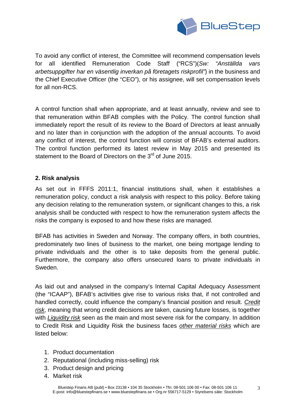

To avoid any conflict of interest, the Committee will recommend compensation levels for all identified Remuneration Code Staff ("RCS")(Sw: "Anställda vars arbetsuppgifter har en väsentlig inverkan på företagets riskprofil") in the business and the Chief Executive Officer (the "CEO"), or his assignee, will set compensation levels for all non-RCS.

A control function shall when appropriate, and at least annually, review and see to that remuneration within BFAB complies with the Policy. The control function shall immediately report the result of its review to the Board of Directors at least annually and no later than in conjunction with the adoption of the annual accounts. To avoid any conflict of interest, the control function will consist of BFAB's external auditors. The control function performed its latest review in May 2015 and presented its statement to the Board of Directors on the  $3<sup>rd</sup>$  of June 2015.

#### **2. Risk analysis**

As set out in FFFS 2011:1, financial institutions shall, when it establishes a remuneration policy, conduct a risk analysis with respect to this policy. Before taking any decision relating to the remuneration system, or significant changes to this, a risk analysis shall be conducted with respect to how the remuneration system affects the risks the company is exposed to and how these risks are managed.

BFAB has activities in Sweden and Norway. The company offers, in both countries, predominately two lines of business to the market, one being mortgage lending to private individuals and the other is to take deposits from the general public. Furthermore, the company also offers unsecured loans to private individuals in Sweden.

As laid out and analysed in the company's Internal Capital Adequacy Assessment (the "ICAAP"), BFAB's activities give rise to various risks that, if not controlled and handled correctly, could influence the company's financial position and result. Credit risk, meaning that wrong credit decisions are taken, causing future losses, is together with Liquidity risk seen as the main and most severe risk for the company. In addition to Credit Risk and Liquidity Risk the business faces other material risks which are listed below:

- 1. Product documentation
- 2. Reputational (including miss-selling) risk
- 3. Product design and pricing
- 4. Market risk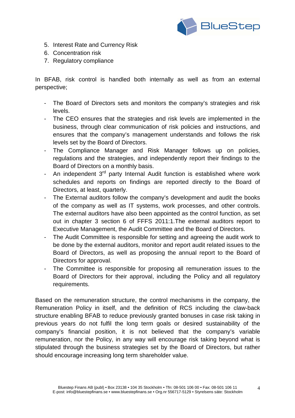

- 5. Interest Rate and Currency Risk
- 6. Concentration risk
- 7. Regulatory compliance

In BFAB, risk control is handled both internally as well as from an external perspective;

- The Board of Directors sets and monitors the company's strategies and risk levels.
- The CEO ensures that the strategies and risk levels are implemented in the business, through clear communication of risk policies and instructions, and ensures that the company's management understands and follows the risk levels set by the Board of Directors.
- The Compliance Manager and Risk Manager follows up on policies, regulations and the strategies, and independently report their findings to the Board of Directors on a monthly basis.
- An independent 3<sup>rd</sup> party Internal Audit function is established where work schedules and reports on findings are reported directly to the Board of Directors, at least, quarterly.
- The External auditors follow the company's development and audit the books of the company as well as IT systems, work processes, and other controls. The external auditors have also been appointed as the control function, as set out in chapter 3 section 6 of FFFS 2011:1.The external auditors report to Executive Management, the Audit Committee and the Board of Directors.
- The Audit Committee is responsible for setting and agreeing the audit work to be done by the external auditors, monitor and report audit related issues to the Board of Directors, as well as proposing the annual report to the Board of Directors for approval.
- The Committee is responsible for proposing all remuneration issues to the Board of Directors for their approval, including the Policy and all regulatory requirements.

Based on the remuneration structure, the control mechanisms in the company, the Remuneration Policy in itself, and the definition of RCS including the claw-back structure enabling BFAB to reduce previously granted bonuses in case risk taking in previous years do not fulfil the long term goals or desired sustainability of the company's financial position, it is not believed that the company's variable remuneration, nor the Policy, in any way will encourage risk taking beyond what is stipulated through the business strategies set by the Board of Directors, but rather should encourage increasing long term shareholder value.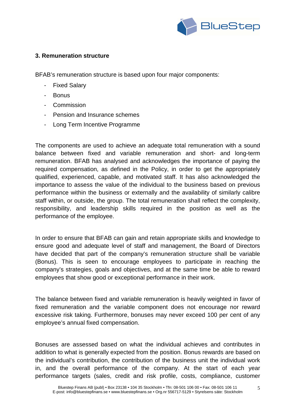

### **3. Remuneration structure**

BFAB's remuneration structure is based upon four major components:

- **Fixed Salary**
- **Bonus**
- **Commission**
- Pension and Insurance schemes
- Long Term Incentive Programme

The components are used to achieve an adequate total remuneration with a sound balance between fixed and variable remuneration and short- and long-term remuneration. BFAB has analysed and acknowledges the importance of paying the required compensation, as defined in the Policy, in order to get the appropriately qualified, experienced, capable, and motivated staff. It has also acknowledged the importance to assess the value of the individual to the business based on previous performance within the business or externally and the availability of similarly calibre staff within, or outside, the group. The total remuneration shall reflect the complexity, responsibility, and leadership skills required in the position as well as the performance of the employee.

In order to ensure that BFAB can gain and retain appropriate skills and knowledge to ensure good and adequate level of staff and management, the Board of Directors have decided that part of the company's remuneration structure shall be variable (Bonus). This is seen to encourage employees to participate in reaching the company's strategies, goals and objectives, and at the same time be able to reward employees that show good or exceptional performance in their work.

The balance between fixed and variable remuneration is heavily weighted in favor of fixed remuneration and the variable component does not encourage nor reward excessive risk taking. Furthermore, bonuses may never exceed 100 per cent of any employee's annual fixed compensation.

Bonuses are assessed based on what the individual achieves and contributes in addition to what is generally expected from the position. Bonus rewards are based on the individual's contribution, the contribution of the business unit the individual work in, and the overall performance of the company. At the start of each year performance targets (sales, credit and risk profile, costs, compliance, customer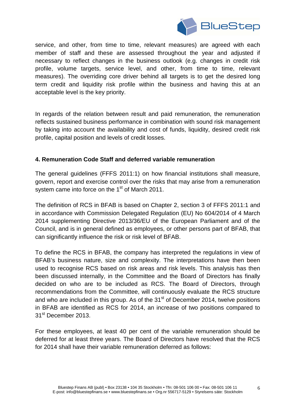

service, and other, from time to time, relevant measures) are agreed with each member of staff and these are assessed throughout the year and adjusted if necessary to reflect changes in the business outlook (e.g. changes in credit risk profile, volume targets, service level, and other, from time to time, relevant measures). The overriding core driver behind all targets is to get the desired long term credit and liquidity risk profile within the business and having this at an acceptable level is the key priority.

In regards of the relation between result and paid remuneration, the remuneration reflects sustained business performance in combination with sound risk management by taking into account the availability and cost of funds, liquidity, desired credit risk profile, capital position and levels of credit losses.

#### **4. Remuneration Code Staff and deferred variable remuneration**

The general guidelines (FFFS 2011:1) on how financial institutions shall measure, govern, report and exercise control over the risks that may arise from a remuneration system came into force on the 1<sup>st</sup> of March 2011.

The definition of RCS in BFAB is based on Chapter 2, section 3 of FFFS 2011:1 and in accordance with Commission Delegated Regulation (EU) No 604/2014 of 4 March 2014 supplementing Directive 2013/36/EU of the European Parliament and of the Council, and is in general defined as employees, or other persons part of BFAB, that can significantly influence the risk or risk level of BFAB.

To define the RCS in BFAB, the company has interpreted the regulations in view of BFAB's business nature, size and complexity. The interpretations have then been used to recognise RCS based on risk areas and risk levels. This analysis has then been discussed internally, in the Committee and the Board of Directors has finally decided on who are to be included as RCS. The Board of Directors, through recommendations from the Committee, will continuously evaluate the RCS structure and who are included in this group. As of the  $31<sup>st</sup>$  of December 2014, twelve positions in BFAB are identified as RCS for 2014, an increase of two positions compared to 31<sup>st</sup> December 2013.

For these employees, at least 40 per cent of the variable remuneration should be deferred for at least three years. The Board of Directors have resolved that the RCS for 2014 shall have their variable remuneration deferred as follows: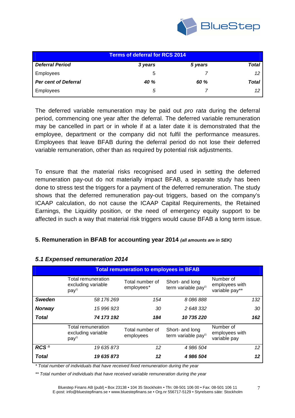

| <b>Terms of deferral for RCS 2014</b> |             |         |       |
|---------------------------------------|-------------|---------|-------|
| <b>Deferral Period</b>                | 3 years     | 5 years | Total |
| Employees                             | b           |         |       |
| <b>Per cent of Deferral</b>           | <b>40 %</b> | 60 %    | Total |
| Employees                             | 5           |         |       |

The deferred variable remuneration may be paid out *pro rata* during the deferral period, commencing one year after the deferral. The deferred variable remuneration may be cancelled in part or in whole if at a later date it is demonstrated that the employee, department or the company did not fulfil the performance measures. Employees that leave BFAB during the deferral period do not lose their deferred variable remuneration, other than as required by potential risk adjustments.

To ensure that the material risks recognised and used in setting the deferred remuneration pay-out do not materially impact BFAB, a separate study has been done to stress test the triggers for a payment of the deferred remuneration. The study shows that the deferred remuneration pay-out triggers, based on the company's ICAAP calculation, do not cause the ICAAP Capital Requirements, the Retained Earnings, the Liquidity position, or the need of emergency equity support to be affected in such a way that material risk triggers would cause BFAB a long term issue.

#### **5. Remuneration in BFAB for accounting year 2014 (all amounts are in SEK)**

| <b>Total remuneration to employees in BFAB</b> |                                                              |                               |                                                    |                                               |     |
|------------------------------------------------|--------------------------------------------------------------|-------------------------------|----------------------------------------------------|-----------------------------------------------|-----|
|                                                | Total remuneration<br>excluding variable<br>pay <sup>1</sup> | Total number of<br>employees* | Short- and long<br>term variable pay <sup>1)</sup> | Number of<br>employees with<br>variable pay** |     |
| <b>Sweden</b>                                  | 58 176 269                                                   | 154                           | 8 086 888                                          |                                               | 132 |
| <b>Norway</b>                                  | 15 996 923                                                   | 30                            | 2 648 332                                          |                                               | 30  |
| <b>Total</b>                                   | 74 173 192                                                   | 184                           | 10 735 220                                         |                                               | 162 |
|                                                | Total remuneration<br>excluding variable<br>pay <sup>1</sup> | Total number of<br>employees  | Short- and long<br>term variable pay <sup>1)</sup> | Number of<br>employees with<br>variable pay   |     |
| RCS <sup>2</sup>                               | 19 635 873                                                   | 12                            | 4 986 504                                          |                                               | 12  |
| <b>Total</b>                                   | 19 635 873                                                   | 12                            | 4 986 504                                          |                                               | 12  |

#### **5.1 Expensed remuneration 2014**

\* Total number of individuals that have received fixed remuneration during the year

\*\* Total number of individuals that have received variable remuneration during the year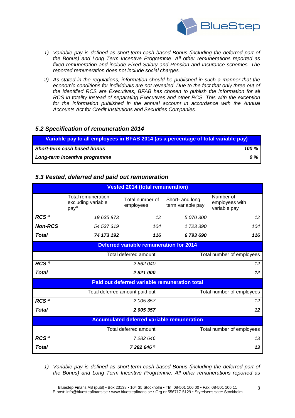

- 1) Variable pay is defined as short-term cash based Bonus (including the deferred part of the Bonus) and Long Term Incentive Programme. All other remunerations reported as fixed remuneration and include Fixed Salary and Pension and Insurance schemes. The reported remuneration does not include social charges.
- 2) As stated in the regulations, information should be published in such a manner that the economic conditions for individuals are not revealed. Due to the fact that only three out of the identified RCS are Executives, BFAB has chosen to publish the information for all RCS in totality instead of separating Executives and other RCS. This with the exception for the information published in the annual account in accordance with the Annual Accounts Act for Credit Institutions and Securities Companies.

#### **5.2 Specification of remuneration 2014**

| Variable pay to all employees in BFAB 2014 (as a percentage of total variable pay) |              |  |
|------------------------------------------------------------------------------------|--------------|--|
| <b>Short-term cash based bonus</b>                                                 | 100 <i>%</i> |  |
| Long-term incentive programme                                                      | 0 %          |  |

#### **5.3 Vested, deferred and paid out remuneration**

| <b>Vested 2014 (total remuneration)</b>           |                                                                     |                                               |                                      |                                             |  |
|---------------------------------------------------|---------------------------------------------------------------------|-----------------------------------------------|--------------------------------------|---------------------------------------------|--|
|                                                   | <b>Total remuneration</b><br>excluding variable<br>pay <sup>1</sup> | Total number of<br>employees                  | Short- and long<br>term variable pay | Number of<br>employees with<br>variable pay |  |
| RCS <sup>2</sup>                                  | 19 635 873                                                          | 12                                            | 5 070 300                            | 12                                          |  |
| <b>Non-RCS</b>                                    | 54 537 319                                                          | 104                                           | 1723390                              | 104                                         |  |
| <b>Total</b>                                      | 74 173 192                                                          | 116                                           | 6793690                              | 116                                         |  |
| <b>Deferred variable remuneration for 2014</b>    |                                                                     |                                               |                                      |                                             |  |
|                                                   | Total deferred amount                                               |                                               | Total number of employees            |                                             |  |
| RCS <sup>2)</sup>                                 | 2 862 040                                                           |                                               | 12                                   |                                             |  |
| Total                                             | 2821000                                                             |                                               |                                      | 12                                          |  |
|                                                   |                                                                     | Paid out deferred variable remuneration total |                                      |                                             |  |
|                                                   | Total deferred amount paid out                                      |                                               | Total number of employees            |                                             |  |
| RCS <sup>2</sup>                                  | 2 005 357                                                           |                                               | 12 <sup>2</sup>                      |                                             |  |
| Total                                             | 2 005 357                                                           |                                               | 12                                   |                                             |  |
| <b>Accumulated deferred variable remuneration</b> |                                                                     |                                               |                                      |                                             |  |
|                                                   | Total deferred amount                                               |                                               | Total number of employees            |                                             |  |
| RCS <sup>2)</sup>                                 | 7282646                                                             |                                               | 13                                   |                                             |  |
| <b>Total</b>                                      | $7282646$ <sup>3)</sup>                                             |                                               |                                      | 13                                          |  |

1) Variable pay is defined as short-term cash based Bonus (including the deferred part of the Bonus) and Long Term Incentive Programme. All other remunerations reported as